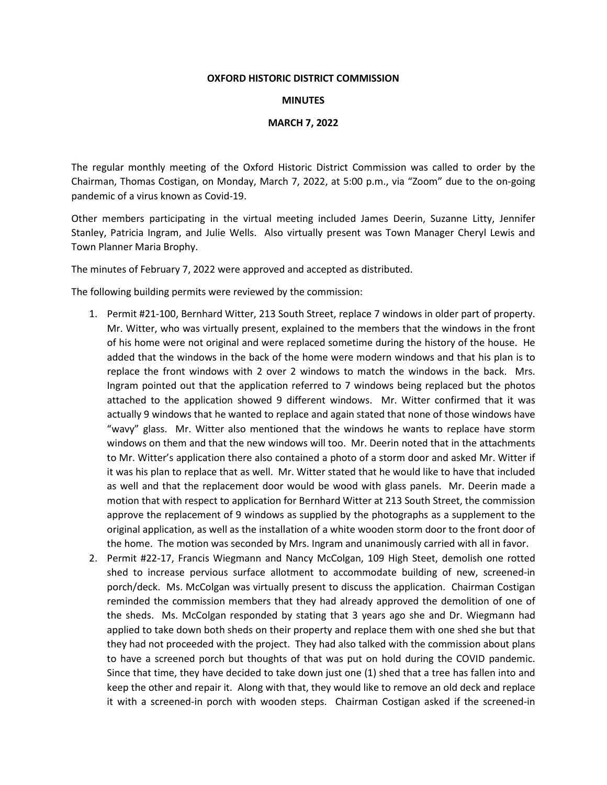## **OXFORD HISTORIC DISTRICT COMMISSION**

## **MINUTES**

## **MARCH 7, 2022**

The regular monthly meeting of the Oxford Historic District Commission was called to order by the Chairman, Thomas Costigan, on Monday, March 7, 2022, at 5:00 p.m., via "Zoom" due to the on-going pandemic of a virus known as Covid-19.

Other members participating in the virtual meeting included James Deerin, Suzanne Litty, Jennifer Stanley, Patricia Ingram, and Julie Wells. Also virtually present was Town Manager Cheryl Lewis and Town Planner Maria Brophy.

The minutes of February 7, 2022 were approved and accepted as distributed.

The following building permits were reviewed by the commission:

- 1. Permit #21-100, Bernhard Witter, 213 South Street, replace 7 windows in older part of property. Mr. Witter, who was virtually present, explained to the members that the windows in the front of his home were not original and were replaced sometime during the history of the house. He added that the windows in the back of the home were modern windows and that his plan is to replace the front windows with 2 over 2 windows to match the windows in the back. Mrs. Ingram pointed out that the application referred to 7 windows being replaced but the photos attached to the application showed 9 different windows. Mr. Witter confirmed that it was actually 9 windows that he wanted to replace and again stated that none of those windows have "wavy" glass. Mr. Witter also mentioned that the windows he wants to replace have storm windows on them and that the new windows will too. Mr. Deerin noted that in the attachments to Mr. Witter's application there also contained a photo of a storm door and asked Mr. Witter if it was his plan to replace that as well. Mr. Witter stated that he would like to have that included as well and that the replacement door would be wood with glass panels. Mr. Deerin made a motion that with respect to application for Bernhard Witter at 213 South Street, the commission approve the replacement of 9 windows as supplied by the photographs as a supplement to the original application, as well as the installation of a white wooden storm door to the front door of the home. The motion was seconded by Mrs. Ingram and unanimously carried with all in favor.
- 2. Permit #22-17, Francis Wiegmann and Nancy McColgan, 109 High Steet, demolish one rotted shed to increase pervious surface allotment to accommodate building of new, screened-in porch/deck. Ms. McColgan was virtually present to discuss the application. Chairman Costigan reminded the commission members that they had already approved the demolition of one of the sheds. Ms. McColgan responded by stating that 3 years ago she and Dr. Wiegmann had applied to take down both sheds on their property and replace them with one shed she but that they had not proceeded with the project. They had also talked with the commission about plans to have a screened porch but thoughts of that was put on hold during the COVID pandemic. Since that time, they have decided to take down just one (1) shed that a tree has fallen into and keep the other and repair it. Along with that, they would like to remove an old deck and replace it with a screened-in porch with wooden steps. Chairman Costigan asked if the screened-in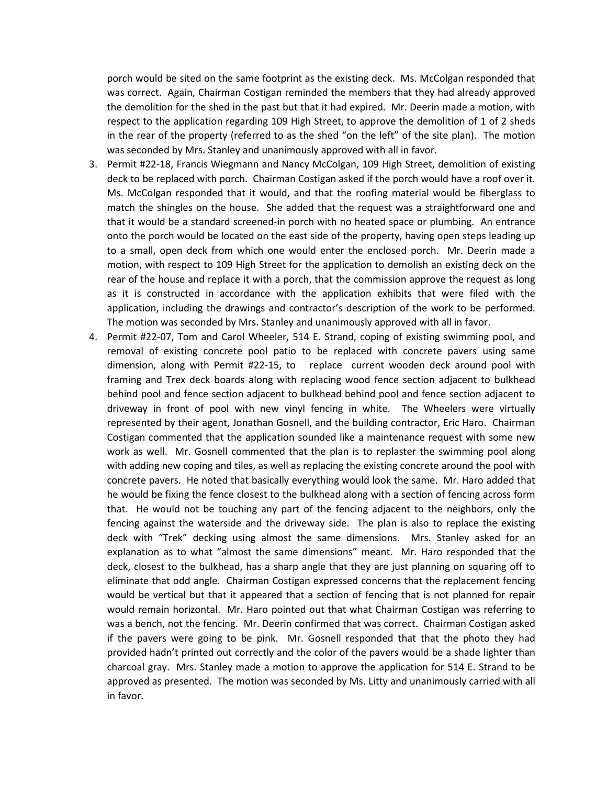porch would be sited on the same footprint as the existing deck. Ms. McColgan responded that was correct. Again, Chairman Costigan reminded the members that they had already approved the demolition for the shed in the past but that it had expired. Mr. Deerin made a motion, with respect to the application regarding 109 High Street, to approve the demolition of 1 of 2 sheds in the rear of the property (referred to as the shed "on the left" of the site plan). The motion was seconded by Mrs. Stanley and unanimously approved with all in favor.

- 3. Permit #22-18, Francis Wiegmann and Nancy McColgan, 109 High Street, demolition of existing deck to be replaced with porch. Chairman Costigan asked if the porch would have a roof over it. Ms. McColgan responded that it would, and that the roofing material would be fiberglass to match the shingles on the house. She added that the request was a straightforward one and that it would be a standard screened-in porch with no heated space or plumbing. An entrance onto the porch would be located on the east side of the property, having open steps leading up to a small, open deck from which one would enter the enclosed porch. Mr. Deerin made a motion, with respect to 109 High Street for the application to demolish an existing deck on the rear of the house and replace it with a porch, that the commission approve the request as long as it is constructed in accordance with the application exhibits that were filed with the application, including the drawings and contractor's description of the work to be performed. The motion was seconded by Mrs. Stanley and unanimously approved with all in favor.
- 4. Permit #22-07, Tom and Carol Wheeler, 514 E. Strand, coping of existing swimming pool, and removal of existing concrete pool patio to be replaced with concrete pavers using same dimension, along with Permit #22-15, to replace current wooden deck around pool with framing and Trex deck boards along with replacing wood fence section adjacent to bulkhead behind pool and fence section adjacent to bulkhead behind pool and fence section adjacent to driveway in front of pool with new vinyl fencing in white. The Wheelers were virtually represented by their agent, Jonathan Gosnell, and the building contractor, Eric Haro. Chairman Costigan commented that the application sounded like a maintenance request with some new work as well. Mr. Gosnell commented that the plan is to replaster the swimming pool along with adding new coping and tiles, as well as replacing the existing concrete around the pool with concrete pavers. He noted that basically everything would look the same. Mr. Haro added that he would be fixing the fence closest to the bulkhead along with a section of fencing across form that. He would not be touching any part of the fencing adjacent to the neighbors, only the fencing against the waterside and the driveway side. The plan is also to replace the existing deck with "Trek" decking using almost the same dimensions. Mrs. Stanley asked for an explanation as to what "almost the same dimensions" meant. Mr. Haro responded that the deck, closest to the bulkhead, has a sharp angle that they are just planning on squaring off to eliminate that odd angle. Chairman Costigan expressed concerns that the replacement fencing would be vertical but that it appeared that a section of fencing that is not planned for repair would remain horizontal. Mr. Haro pointed out that what Chairman Costigan was referring to was a bench, not the fencing. Mr. Deerin confirmed that was correct. Chairman Costigan asked if the pavers were going to be pink. Mr. Gosnell responded that that the photo they had provided hadn't printed out correctly and the color of the pavers would be a shade lighter than charcoal gray. Mrs. Stanley made a motion to approve the application for 514 E. Strand to be approved as presented. The motion was seconded by Ms. Litty and unanimously carried with all in favor.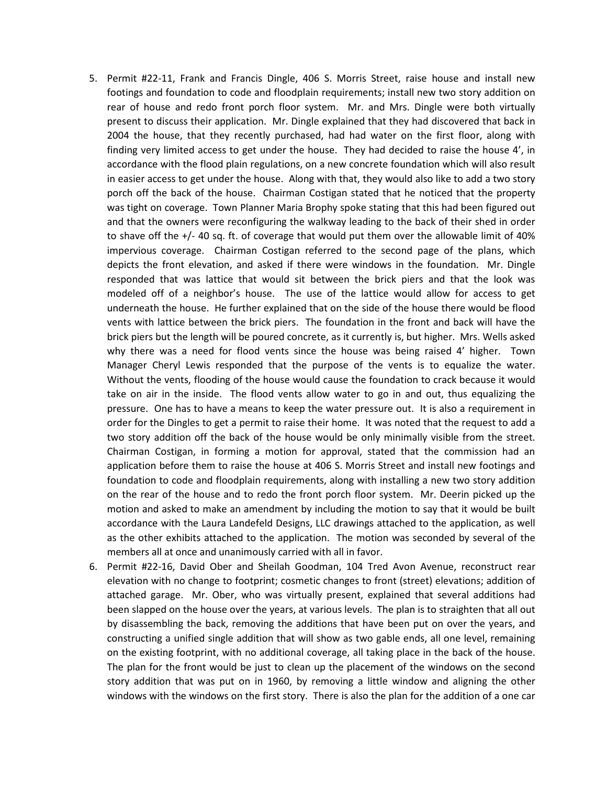- 5. Permit #22-11, Frank and Francis Dingle, 406 S. Morris Street, raise house and install new footings and foundation to code and floodplain requirements; install new two story addition on rear of house and redo front porch floor system. Mr. and Mrs. Dingle were both virtually present to discuss their application. Mr. Dingle explained that they had discovered that back in 2004 the house, that they recently purchased, had had water on the first floor, along with finding very limited access to get under the house. They had decided to raise the house 4', in accordance with the flood plain regulations, on a new concrete foundation which will also result in easier access to get under the house. Along with that, they would also like to add a two story porch off the back of the house. Chairman Costigan stated that he noticed that the property was tight on coverage. Town Planner Maria Brophy spoke stating that this had been figured out and that the owners were reconfiguring the walkway leading to the back of their shed in order to shave off the +/- 40 sq. ft. of coverage that would put them over the allowable limit of 40% impervious coverage. Chairman Costigan referred to the second page of the plans, which depicts the front elevation, and asked if there were windows in the foundation. Mr. Dingle responded that was lattice that would sit between the brick piers and that the look was modeled off of a neighbor's house. The use of the lattice would allow for access to get underneath the house. He further explained that on the side of the house there would be flood vents with lattice between the brick piers. The foundation in the front and back will have the brick piers but the length will be poured concrete, as it currently is, but higher. Mrs. Wells asked why there was a need for flood vents since the house was being raised 4' higher. Town Manager Cheryl Lewis responded that the purpose of the vents is to equalize the water. Without the vents, flooding of the house would cause the foundation to crack because it would take on air in the inside. The flood vents allow water to go in and out, thus equalizing the pressure. One has to have a means to keep the water pressure out. It is also a requirement in order for the Dingles to get a permit to raise their home. It was noted that the request to add a two story addition off the back of the house would be only minimally visible from the street. Chairman Costigan, in forming a motion for approval, stated that the commission had an application before them to raise the house at 406 S. Morris Street and install new footings and foundation to code and floodplain requirements, along with installing a new two story addition on the rear of the house and to redo the front porch floor system. Mr. Deerin picked up the motion and asked to make an amendment by including the motion to say that it would be built accordance with the Laura Landefeld Designs, LLC drawings attached to the application, as well as the other exhibits attached to the application. The motion was seconded by several of the members all at once and unanimously carried with all in favor.
- 6. Permit #22-16, David Ober and Sheilah Goodman, 104 Tred Avon Avenue, reconstruct rear elevation with no change to footprint; cosmetic changes to front (street) elevations; addition of attached garage. Mr. Ober, who was virtually present, explained that several additions had been slapped on the house over the years, at various levels. The plan is to straighten that all out by disassembling the back, removing the additions that have been put on over the years, and constructing a unified single addition that will show as two gable ends, all one level, remaining on the existing footprint, with no additional coverage, all taking place in the back of the house. The plan for the front would be just to clean up the placement of the windows on the second story addition that was put on in 1960, by removing a little window and aligning the other windows with the windows on the first story. There is also the plan for the addition of a one car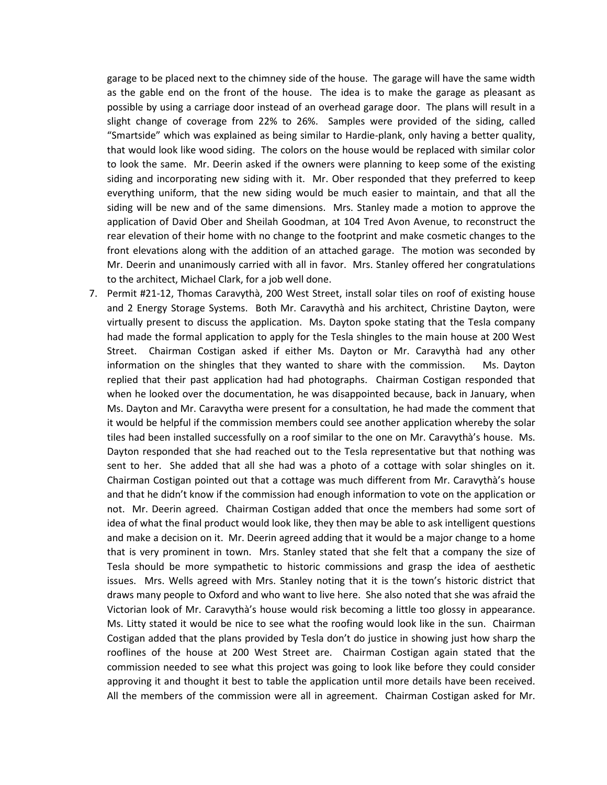garage to be placed next to the chimney side of the house. The garage will have the same width as the gable end on the front of the house. The idea is to make the garage as pleasant as possible by using a carriage door instead of an overhead garage door. The plans will result in a slight change of coverage from 22% to 26%. Samples were provided of the siding, called "Smartside" which was explained as being similar to Hardie-plank, only having a better quality, that would look like wood siding. The colors on the house would be replaced with similar color to look the same. Mr. Deerin asked if the owners were planning to keep some of the existing siding and incorporating new siding with it. Mr. Ober responded that they preferred to keep everything uniform, that the new siding would be much easier to maintain, and that all the siding will be new and of the same dimensions. Mrs. Stanley made a motion to approve the application of David Ober and Sheilah Goodman, at 104 Tred Avon Avenue, to reconstruct the rear elevation of their home with no change to the footprint and make cosmetic changes to the front elevations along with the addition of an attached garage. The motion was seconded by Mr. Deerin and unanimously carried with all in favor. Mrs. Stanley offered her congratulations to the architect, Michael Clark, for a job well done.

7. Permit #21-12, Thomas Caravythà, 200 West Street, install solar tiles on roof of existing house and 2 Energy Storage Systems. Both Mr. Caravythà and his architect, Christine Dayton, were virtually present to discuss the application. Ms. Dayton spoke stating that the Tesla company had made the formal application to apply for the Tesla shingles to the main house at 200 West Street. Chairman Costigan asked if either Ms. Dayton or Mr. Caravythà had any other information on the shingles that they wanted to share with the commission. Ms. Dayton replied that their past application had had photographs. Chairman Costigan responded that when he looked over the documentation, he was disappointed because, back in January, when Ms. Dayton and Mr. Caravytha were present for a consultation, he had made the comment that it would be helpful if the commission members could see another application whereby the solar tiles had been installed successfully on a roof similar to the one on Mr. Caravythà's house. Ms. Dayton responded that she had reached out to the Tesla representative but that nothing was sent to her. She added that all she had was a photo of a cottage with solar shingles on it. Chairman Costigan pointed out that a cottage was much different from Mr. Caravythà's house and that he didn't know if the commission had enough information to vote on the application or not. Mr. Deerin agreed. Chairman Costigan added that once the members had some sort of idea of what the final product would look like, they then may be able to ask intelligent questions and make a decision on it. Mr. Deerin agreed adding that it would be a major change to a home that is very prominent in town. Mrs. Stanley stated that she felt that a company the size of Tesla should be more sympathetic to historic commissions and grasp the idea of aesthetic issues. Mrs. Wells agreed with Mrs. Stanley noting that it is the town's historic district that draws many people to Oxford and who want to live here. She also noted that she was afraid the Victorian look of Mr. Caravythà's house would risk becoming a little too glossy in appearance. Ms. Litty stated it would be nice to see what the roofing would look like in the sun. Chairman Costigan added that the plans provided by Tesla don't do justice in showing just how sharp the rooflines of the house at 200 West Street are. Chairman Costigan again stated that the commission needed to see what this project was going to look like before they could consider approving it and thought it best to table the application until more details have been received. All the members of the commission were all in agreement. Chairman Costigan asked for Mr.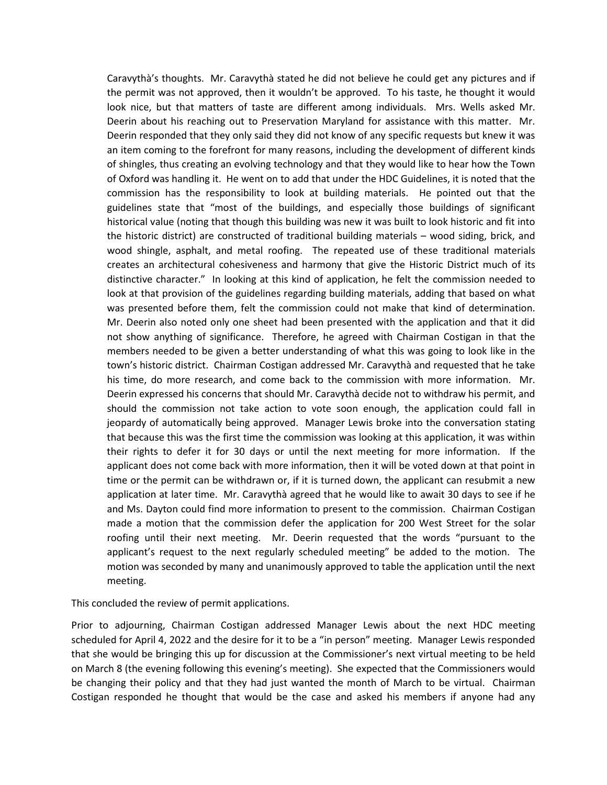Caravythà's thoughts. Mr. Caravythà stated he did not believe he could get any pictures and if the permit was not approved, then it wouldn't be approved. To his taste, he thought it would look nice, but that matters of taste are different among individuals. Mrs. Wells asked Mr. Deerin about his reaching out to Preservation Maryland for assistance with this matter. Mr. Deerin responded that they only said they did not know of any specific requests but knew it was an item coming to the forefront for many reasons, including the development of different kinds of shingles, thus creating an evolving technology and that they would like to hear how the Town of Oxford was handling it. He went on to add that under the HDC Guidelines, it is noted that the commission has the responsibility to look at building materials. He pointed out that the guidelines state that "most of the buildings, and especially those buildings of significant historical value (noting that though this building was new it was built to look historic and fit into the historic district) are constructed of traditional building materials – wood siding, brick, and wood shingle, asphalt, and metal roofing. The repeated use of these traditional materials creates an architectural cohesiveness and harmony that give the Historic District much of its distinctive character." In looking at this kind of application, he felt the commission needed to look at that provision of the guidelines regarding building materials, adding that based on what was presented before them, felt the commission could not make that kind of determination. Mr. Deerin also noted only one sheet had been presented with the application and that it did not show anything of significance. Therefore, he agreed with Chairman Costigan in that the members needed to be given a better understanding of what this was going to look like in the town's historic district. Chairman Costigan addressed Mr. Caravythà and requested that he take his time, do more research, and come back to the commission with more information. Mr. Deerin expressed his concerns that should Mr. Caravythà decide not to withdraw his permit, and should the commission not take action to vote soon enough, the application could fall in jeopardy of automatically being approved. Manager Lewis broke into the conversation stating that because this was the first time the commission was looking at this application, it was within their rights to defer it for 30 days or until the next meeting for more information. If the applicant does not come back with more information, then it will be voted down at that point in time or the permit can be withdrawn or, if it is turned down, the applicant can resubmit a new application at later time. Mr. Caravythà agreed that he would like to await 30 days to see if he and Ms. Dayton could find more information to present to the commission. Chairman Costigan made a motion that the commission defer the application for 200 West Street for the solar roofing until their next meeting. Mr. Deerin requested that the words "pursuant to the applicant's request to the next regularly scheduled meeting" be added to the motion. The motion was seconded by many and unanimously approved to table the application until the next meeting.

This concluded the review of permit applications.

Prior to adjourning, Chairman Costigan addressed Manager Lewis about the next HDC meeting scheduled for April 4, 2022 and the desire for it to be a "in person" meeting. Manager Lewis responded that she would be bringing this up for discussion at the Commissioner's next virtual meeting to be held on March 8 (the evening following this evening's meeting). She expected that the Commissioners would be changing their policy and that they had just wanted the month of March to be virtual. Chairman Costigan responded he thought that would be the case and asked his members if anyone had any